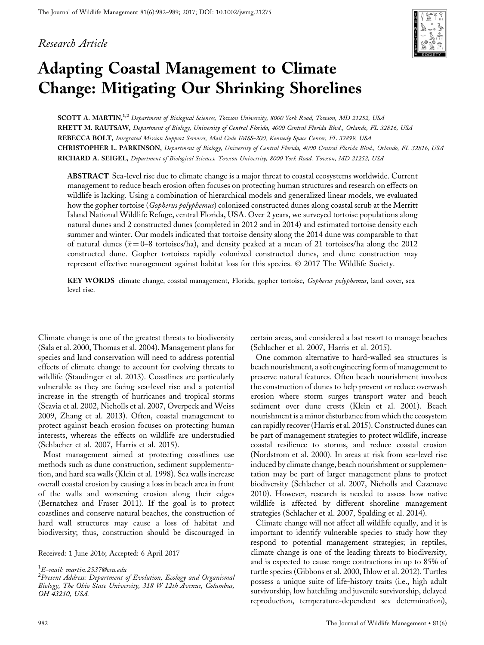#### Research Article



# Adapting Coastal Management to Climate Change: Mitigating Our Shrinking Shorelines

SCOTT A. MARTIN,<sup>1,2</sup> Department of Biological Sciences, Towson University, 8000 York Road, Towson, MD 21252, USA RHETT M. RAUTSAW, Department of Biology, University of Central Florida, 4000 Central Florida Blvd., Orlando, FL 32816, USA REBECCA BOLT, Integrated Mission Support Services, Mail Code IMSS-200, Kennedy Space Center, FL 32899, USA CHRISTOPHER L. PARKINSON, Department of Biology, University of Central Florida, 4000 Central Florida Blvd., Orlando, FL 32816, USA RICHARD A. SEIGEL, Department of Biological Sciences, Towson University, 8000 York Road, Towson, MD 21252, USA

ABSTRACT Sea-level rise due to climate change is a major threat to coastal ecosystems worldwide. Current management to reduce beach erosion often focuses on protecting human structures and research on effects on wildlife is lacking. Using a combination of hierarchical models and generalized linear models, we evaluated how the gopher tortoise (Gopherus polyphemus) colonized constructed dunes along coastal scrub at the Merritt Island National Wildlife Refuge, central Florida, USA. Over 2 years, we surveyed tortoise populations along natural dunes and 2 constructed dunes (completed in 2012 and in 2014) and estimated tortoise density each summer and winter. Our models indicated that tortoise density along the 2014 dune was comparable to that of natural dunes ( $\bar{x} = 0$ –8 tortoises/ha), and density peaked at a mean of 21 tortoises/ha along the 2012 constructed dune. Gopher tortoises rapidly colonized constructed dunes, and dune construction may represent effective management against habitat loss for this species. © 2017 The Wildlife Society.

KEY WORDS climate change, coastal management, Florida, gopher tortoise, Gopherus polyphemus, land cover, sealevel rise.

Climate change is one of the greatest threats to biodiversity (Sala et al. 2000, Thomas et al. 2004). Management plans for species and land conservation will need to address potential effects of climate change to account for evolving threats to wildlife (Staudinger et al. 2013). Coastlines are particularly vulnerable as they are facing sea-level rise and a potential increase in the strength of hurricanes and tropical storms (Scavia et al. 2002, Nicholls et al. 2007, Overpeck and Weiss 2009, Zhang et al. 2013). Often, coastal management to protect against beach erosion focuses on protecting human interests, whereas the effects on wildlife are understudied (Schlacher et al. 2007, Harris et al. 2015).

Most management aimed at protecting coastlines use methods such as dune construction, sediment supplementation, and hard sea walls (Klein et al. 1998). Sea walls increase overall coastal erosion by causing a loss in beach area in front of the walls and worsening erosion along their edges (Bernatchez and Fraser 2011). If the goal is to protect coastlines and conserve natural beaches, the construction of hard wall structures may cause a loss of habitat and biodiversity; thus, construction should be discouraged in

Received: 1 June 2016; Accepted: 6 April 2017

certain areas, and considered a last resort to manage beaches (Schlacher et al. 2007, Harris et al. 2015).

One common alternative to hard-walled sea structures is beach nourishment, a soft engineering form of management to preserve natural features. Often beach nourishment involves the construction of dunes to help prevent or reduce overwash erosion where storm surges transport water and beach sediment over dune crests (Klein et al. 2001). Beach nourishment is a minor disturbance from which the ecosystem can rapidly recover (Harris et al. 2015). Constructed dunes can be part of management strategies to protect wildlife, increase coastal resilience to storms, and reduce coastal erosion (Nordstrom et al. 2000). In areas at risk from sea-level rise induced by climate change, beach nourishment or supplementation may be part of larger management plans to protect biodiversity (Schlacher et al. 2007, Nicholls and Cazenave 2010). However, research is needed to assess how native wildlife is affected by different shoreline management strategies (Schlacher et al. 2007, Spalding et al. 2014).

Climate change will not affect all wildlife equally, and it is important to identify vulnerable species to study how they respond to potential management strategies; in reptiles, climate change is one of the leading threats to biodiversity, and is expected to cause range contractions in up to 85% of turtle species (Gibbons et al. 2000, Ihlow et al. 2012). Turtles possess a unique suite of life-history traits (i.e., high adult survivorship, low hatchling and juvenile survivorship, delayed reproduction, temperature-dependent sex determination),

<sup>1</sup> E-mail: martin.2537@osu.edu

 $^2$ Present Address: Department of Evolution, Ecology and Organismal Biology, The Ohio State University, 318 W 12th Avenue, Columbus, OH 43210, USA.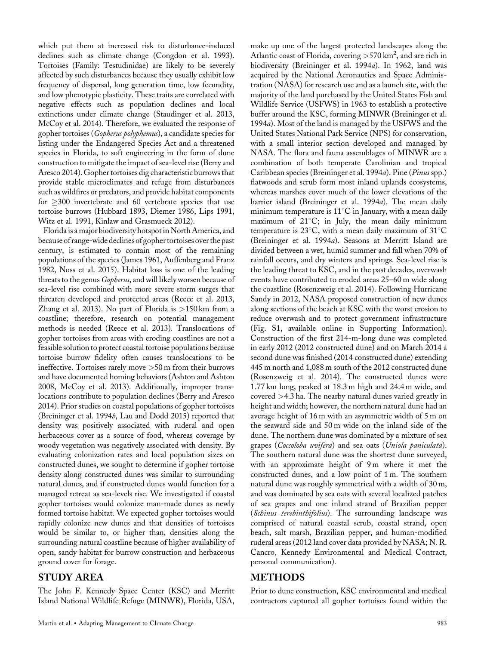which put them at increased risk to disturbance-induced declines such as climate change (Congdon et al. 1993). Tortoises (Family: Testudinidae) are likely to be severely affected by such disturbances because they usually exhibit low frequency of dispersal, long generation time, low fecundity, and low phenotypic plasticity. These traits are correlated with negative effects such as population declines and local extinctions under climate change (Staudinger et al. 2013, McCoy et al. 2014). Therefore, we evaluated the response of gopher tortoises (Gopherus polyphemus), a candidate species for listing under the Endangered Species Act and a threatened species in Florida, to soft engineering in the form of dune construction to mitigate the impact of sea-level rise (Berry and Aresco 2014). Gopher tortoises dig characteristic burrows that provide stable microclimates and refuge from disturbances such as wildfires or predators, and provide habitat components for  $\geq$ 300 invertebrate and 60 vertebrate species that use tortoise burrows (Hubbard 1893, Diemer 1986, Lips 1991, Witz et al. 1991, Kinlaw and Grasmueck 2012).

Florida is a major biodiversity hotspot in North America, and because of range-wide declines of gopher tortoises over the past century, is estimated to contain most of the remaining populations of the species (James 1961, Auffenberg and Franz 1982, Noss et al. 2015). Habitat loss is one of the leading threats to the genus Gopherus, and will likely worsen because of sea-level rise combined with more severe storm surges that threaten developed and protected areas (Reece et al. 2013, Zhang et al. 2013). No part of Florida is >150 km from a coastline; therefore, research on potential management methods is needed (Reece et al. 2013). Translocations of gopher tortoises from areas with eroding coastlines are not a feasible solution to protect coastal tortoise populations because tortoise burrow fidelity often causes translocations to be ineffective. Tortoises rarely move >50 m from their burrows and have documented homing behaviors (Ashton and Ashton 2008, McCoy et al. 2013). Additionally, improper translocations contribute to population declines (Berry and Aresco 2014). Prior studies on coastal populations of gopher tortoises (Breininger et al. 1994b, Lau and Dodd 2015) reported that density was positively associated with ruderal and open herbaceous cover as a source of food, whereas coverage by woody vegetation was negatively associated with density. By evaluating colonization rates and local population sizes on constructed dunes, we sought to determine if gopher tortoise density along constructed dunes was similar to surrounding natural dunes, and if constructed dunes would function for a managed retreat as sea-levels rise. We investigated if coastal gopher tortoises would colonize man-made dunes as newly formed tortoise habitat. We expected gopher tortoises would rapidly colonize new dunes and that densities of tortoises would be similar to, or higher than, densities along the surrounding natural coastline because of higher availability of open, sandy habitat for burrow construction and herbaceous ground cover for forage.

# STUDY AREA

The John F. Kennedy Space Center (KSC) and Merritt Island National Wildlife Refuge (MINWR), Florida, USA, make up one of the largest protected landscapes along the Atlantic coast of Florida, covering  $>$  570 km<sup>2</sup>, and are rich in biodiversity (Breininger et al. 1994a). In 1962, land was acquired by the National Aeronautics and Space Administration (NASA) for research use and as a launch site, with the majority of the land purchased by the United States Fish and Wildlife Service (USFWS) in 1963 to establish a protective buffer around the KSC, forming MINWR (Breininger et al. 1994a). Most of the land is managed by the USFWS and the United States National Park Service (NPS) for conservation, with a small interior section developed and managed by NASA. The flora and fauna assemblages of MINWR are a combination of both temperate Carolinian and tropical Caribbean species (Breininger et al. 1994a). Pine (Pinus spp.) flatwoods and scrub form most inland uplands ecosystems, whereas marshes cover much of the lower elevations of the barrier island (Breininger et al. 1994a). The mean daily minimum temperature is  $11^{\circ}$ C in January, with a mean daily maximum of  $21^{\circ}$ C; in July, the mean daily minimum temperature is 23 $^{\circ}$ C, with a mean daily maximum of 31 $^{\circ}$ C (Breininger et al. 1994a). Seasons at Merritt Island are divided between a wet, humid summer and fall when 70% of rainfall occurs, and dry winters and springs. Sea-level rise is the leading threat to KSC, and in the past decades, overwash events have contributed to eroded areas 25–60 m wide along the coastline (Rosenzweig et al. 2014). Following Hurricane Sandy in 2012, NASA proposed construction of new dunes along sections of the beach at KSC with the worst erosion to reduce overwash and to protect government infrastructure (Fig. S1, available online in Supporting Information). Construction of the first 214-m-long dune was completed in early 2012 (2012 constructed dune) and on March 2014 a second dune was finished (2014 constructed dune) extending 445 m north and 1,088 m south of the 2012 constructed dune (Rosenzweig et al. 2014). The constructed dunes were 1.77 km long, peaked at 18.3 m high and 24.4 m wide, and covered >4.3 ha. The nearby natural dunes varied greatly in height and width; however, the northern natural dune had an average height of 16 m with an asymmetric width of 5 m on the seaward side and 50 m wide on the inland side of the dune. The northern dune was dominated by a mixture of sea grapes (Coccoloba uvifera) and sea oats (Uniola paniculata). The southern natural dune was the shortest dune surveyed, with an approximate height of 9m where it met the constructed dunes, and a low point of 1 m. The southern natural dune was roughly symmetrical with a width of 30 m, and was dominated by sea oats with several localized patches of sea grapes and one inland strand of Brazilian pepper (*Schinus terebinthifolius*). The surrounding landscape was comprised of natural coastal scrub, coastal strand, open beach, salt marsh, Brazilian pepper, and human-modified ruderal areas (2012 land cover data provided by NASA; N. R. Cancro, Kennedy Environmental and Medical Contract, personal communication).

# METHODS

Prior to dune construction, KSC environmental and medical contractors captured all gopher tortoises found within the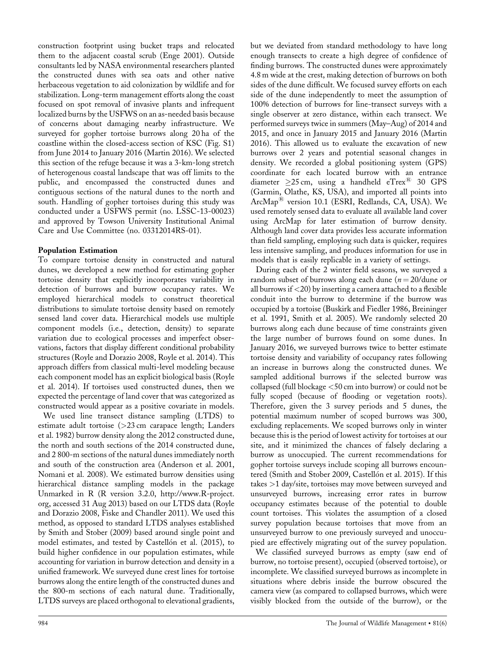construction footprint using bucket traps and relocated them to the adjacent coastal scrub (Enge 2001). Outside consultants led by NASA environmental researchers planted the constructed dunes with sea oats and other native herbaceous vegetation to aid colonization by wildlife and for stabilization. Long-term management efforts along the coast focused on spot removal of invasive plants and infrequent localized burns by the USFWS on an as-needed basis because of concerns about damaging nearby infrastructure. We surveyed for gopher tortoise burrows along 20 ha of the coastline within the closed-access section of KSC (Fig. S1) from June 2014 to January 2016 (Martin 2016). We selected this section of the refuge because it was a 3-km-long stretch of heterogenous coastal landscape that was off limits to the public, and encompassed the constructed dunes and contiguous sections of the natural dunes to the north and south. Handling of gopher tortoises during this study was conducted under a USFWS permit (no. LSSC-13-00023) and approved by Towson University Institutional Animal Care and Use Committee (no. 03312014RS-01).

#### Population Estimation

To compare tortoise density in constructed and natural dunes, we developed a new method for estimating gopher tortoise density that explicitly incorporates variability in detection of burrows and burrow occupancy rates. We employed hierarchical models to construct theoretical distributions to simulate tortoise density based on remotely sensed land cover data. Hierarchical models use multiple component models (i.e., detection, density) to separate variation due to ecological processes and imperfect observations, factors that display different conditional probability structures (Royle and Dorazio 2008, Royle et al. 2014). This approach differs from classical multi-level modeling because each component model has an explicit biological basis (Royle et al. 2014). If tortoises used constructed dunes, then we expected the percentage of land cover that was categorized as constructed would appear as a positive covariate in models.

We used line transect distance sampling (LTDS) to estimate adult tortoise (>23 cm carapace length; Landers et al. 1982) burrow density along the 2012 constructed dune, the north and south sections of the 2014 constructed dune, and 2 800-m sections of the natural dunes immediately north and south of the construction area (Anderson et al. 2001, Nomani et al. 2008). We estimated burrow densities using hierarchical distance sampling models in the package Unmarked in R (R version 3.2.0, [http://www.R-project.](http://www.R-project.org) [org](http://www.R-project.org), accessed 31 Aug 2013) based on our LTDS data (Royle and Dorazio 2008, Fiske and Chandler 2011). We used this method, as opposed to standard LTDS analyses established by Smith and Stober (2009) based around single point and model estimates, and tested by Castellón et al. (2015), to build higher confidence in our population estimates, while accounting for variation in burrow detection and density in a unified framework. We surveyed dune crest lines for tortoise burrows along the entire length of the constructed dunes and the 800-m sections of each natural dune. Traditionally, LTDS surveys are placed orthogonal to elevational gradients,

but we deviated from standard methodology to have long enough transects to create a high degree of confidence of finding burrows. The constructed dunes were approximately 4.8 m wide at the crest, making detection of burrows on both sides of the dune difficult. We focused survey efforts on each side of the dune independently to meet the assumption of 100% detection of burrows for line-transect surveys with a single observer at zero distance, within each transect. We performed surveys twice in summers (May–Aug) of 2014 and 2015, and once in January 2015 and January 2016 (Martin 2016). This allowed us to evaluate the excavation of new burrows over 2 years and potential seasonal changes in density. We recorded a global positioning system (GPS) coordinate for each located burrow with an entrance diameter  $\geq$ 25 cm, using a handheld eTrex<sup>®</sup> 30 GPS (Garmin, Olathe, KS, USA), and imported all points into ArcMap<sup>®</sup> version 10.1 (ESRI, Redlands, CA, USA). We used remotely sensed data to evaluate all available land cover using ArcMap for later estimation of burrow density. Although land cover data provides less accurate information than field sampling, employing such data is quicker, requires less intensive sampling, and produces information for use in models that is easily replicable in a variety of settings.

During each of the 2 winter field seasons, we surveyed a random subset of burrows along each dune  $(n = 20/\text{dune or})$ all burrows if  $\langle 20 \rangle$  by inserting a camera attached to a flexible conduit into the burrow to determine if the burrow was occupied by a tortoise (Buskirk and Fiedler 1986, Breininger et al. 1991, Smith et al. 2005). We randomly selected 20 burrows along each dune because of time constraints given the large number of burrows found on some dunes. In January 2016, we surveyed burrows twice to better estimate tortoise density and variability of occupancy rates following an increase in burrows along the constructed dunes. We sampled additional burrows if the selected burrow was collapsed (full blockage <50 cm into burrow) or could not be fully scoped (because of flooding or vegetation roots). Therefore, given the 3 survey periods and 5 dunes, the potential maximum number of scoped burrows was 300, excluding replacements. We scoped burrows only in winter because this is the period of lowest activity for tortoises at our site, and it minimized the chances of falsely declaring a burrow as unoccupied. The current recommendations for gopher tortoise surveys include scoping all burrows encountered (Smith and Stober 2009, Castellón et al. 2015). If this takes >1 day/site, tortoises may move between surveyed and unsurveyed burrows, increasing error rates in burrow occupancy estimates because of the potential to double count tortoises. This violates the assumption of a closed survey population because tortoises that move from an unsurveyed burrow to one previously surveyed and unoccupied are effectively migrating out of the survey population.

We classified surveyed burrows as empty (saw end of burrow, no tortoise present), occupied (observed tortoise), or incomplete. We classified surveyed burrows as incomplete in situations where debris inside the burrow obscured the camera view (as compared to collapsed burrows, which were visibly blocked from the outside of the burrow), or the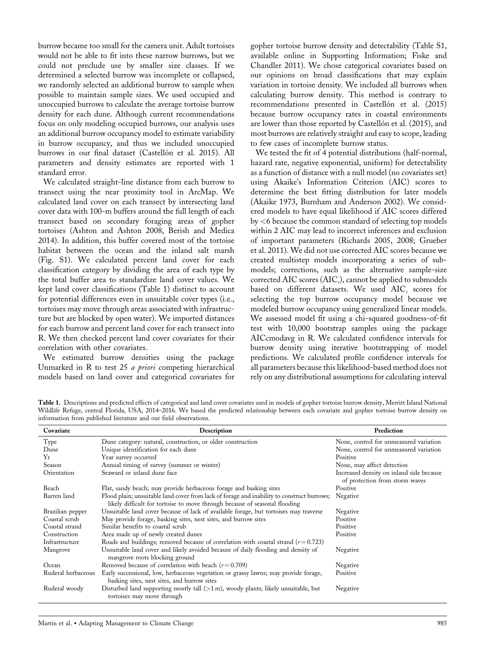burrow became too small for the camera unit. Adult tortoises would not be able to fit into these narrow burrows, but we could not preclude use by smaller size classes. If we determined a selected burrow was incomplete or collapsed, we randomly selected an additional burrow to sample when possible to maintain sample sizes. We used occupied and unoccupied burrows to calculate the average tortoise burrow density for each dune. Although current recommendations focus on only modeling occupied burrows, our analysis uses an additional burrow occupancy model to estimate variability in burrow occupancy, and thus we included unoccupied burrows in our final dataset (Castellón et al. 2015). All parameters and density estimates are reported with 1 standard error.

We calculated straight-line distance from each burrow to transect using the near proximity tool in ArcMap. We calculated land cover on each transect by intersecting land cover data with 100-m buffers around the full length of each transect based on secondary foraging areas of gopher tortoises (Ashton and Ashton 2008, Berish and Medica 2014). In addition, this buffer covered most of the tortoise habitat between the ocean and the inland salt marsh (Fig. S1). We calculated percent land cover for each classification category by dividing the area of each type by the total buffer area to standardize land cover values. We kept land cover classifications (Table 1) distinct to account for potential differences even in unsuitable cover types (i.e., tortoises may move through areas associated with infrastructure but are blocked by open water). We imported distances for each burrow and percent land cover for each transect into R. We then checked percent land cover covariates for their correlation with other covariates.

We estimated burrow densities using the package Unmarked in R to test 25 a priori competing hierarchical models based on land cover and categorical covariates for

gopher tortoise burrow density and detectability (Table S1, available online in Supporting Information; Fiske and Chandler 2011). We chose categorical covariates based on our opinions on broad classifications that may explain variation in tortoise density. We included all burrows when calculating burrow density. This method is contrary to recommendations presented in Castellón et al. (2015) because burrow occupancy rates in coastal environments are lower than those reported by Castellón et al. (2015), and most burrows are relatively straight and easy to scope, leading to few cases of incomplete burrow status.

We tested the fit of 4 potential distributions (half-normal, hazard rate, negative exponential, uniform) for detectability as a function of distance with a null model (no covariates set) using Akaike's Information Criterion (AIC) scores to determine the best fitting distribution for later models (Akaike 1973, Burnham and Anderson 2002). We considered models to have equal likelihood if AIC scores differed by <6 because the common standard of selecting top models within 2 AIC may lead to incorrect inferences and exclusion of important parameters (Richards 2005, 2008; Grueber et al. 2011). We did not use corrected AIC scores because we created multistep models incorporating a series of submodels; corrections, such as the alternative sample-size corrected AIC scores  $(AIC<sub>c</sub>)$ , cannot be applied to submodels based on different datasets. We used  $AIC<sub>c</sub>$  scores for selecting the top burrow occupancy model because we modeled burrow occupancy using generalized linear models. We assessed model fit using a chi-squared goodness-of-fit test with 10,000 bootstrap samples using the package AICcmodavg in R. We calculated confidence intervals for burrow density using iterative bootstrapping of model predictions. We calculated profile confidence intervals for all parameters because this likelihood-based method does not rely on any distributional assumptions for calculating interval

Table 1. Descriptions and predicted effects of categorical and land cover covariates used in models of gopher tortoise burrow density, Merritt Island National Wildlife Refuge, central Florida, USA, 2014–2016. We based the predicted relationship between each covariate and gopher tortoise burrow density on information from published literature and our field observations.

| Covariate          | Description                                                                                                                                                              | Prediction                                                                 |
|--------------------|--------------------------------------------------------------------------------------------------------------------------------------------------------------------------|----------------------------------------------------------------------------|
| Type               | Dune category: natural, construction, or older construction                                                                                                              | None, control for unmeasured variation                                     |
| Dune               | Unique identification for each dune                                                                                                                                      | None, control for unmeasured variation                                     |
| Yr                 | Year survey occurred                                                                                                                                                     | Positive                                                                   |
| Season             | Annual timing of survey (summer or winter)                                                                                                                               | None, may affect detection                                                 |
| Orientation        | Seaward or inland dune face                                                                                                                                              | Increased density on inland side because<br>of protection from storm waves |
| Beach              | Flat, sandy beach; may provide herbaceous forage and basking sites                                                                                                       | Positive                                                                   |
| Barren land        | Flood plain; unsuitable land cover from lack of forage and inability to construct burrows;<br>likely difficult for tortoise to move through because of seasonal flooding | Negative                                                                   |
| Brazilian pepper   | Unsuitable land cover because of lack of available forage, but tortoises may traverse                                                                                    | Negative                                                                   |
| Coastal scrub      | May provide forage, basking sites, nest sites, and burrow sites                                                                                                          | Positive                                                                   |
| Coastal strand     | Similar benefits to coastal scrub                                                                                                                                        | Positive                                                                   |
| Construction       | Area made up of newly created dunes                                                                                                                                      | Positive                                                                   |
| Infrastructure     | Roads and buildings; removed because of correlation with coastal strand $(r=0.723)$                                                                                      |                                                                            |
| Mangrove           | Unsuitable land cover and likely avoided because of daily flooding and density of<br>mangrove roots blocking ground                                                      | Negative                                                                   |
| Ocean              | Removed because of correlation with beach $(r=0.709)$                                                                                                                    | Negative                                                                   |
| Ruderal herbaceous | Early successional, low, herbaceous vegetation or grassy lawns; may provide forage,<br>basking sites, nest sites, and burrow sites                                       | Positive                                                                   |
| Ruderal woody      | Disturbed land supporting mostly tall $(>1 \text{ m})$ , woody plants; likely unsuitable, but<br>tortoises may move through                                              | Negative                                                                   |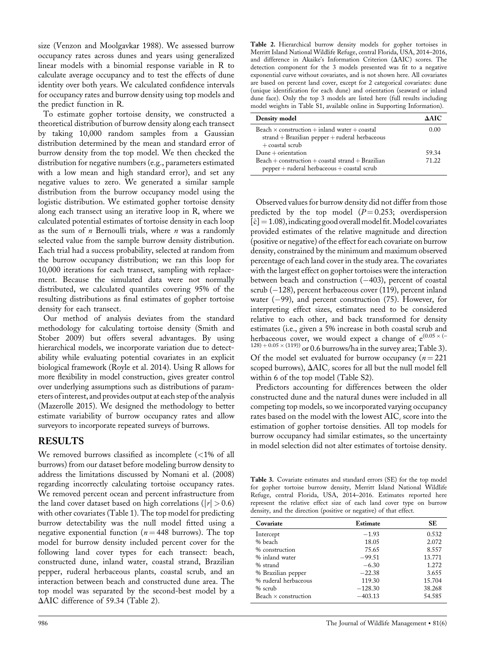size (Venzon and Moolgavkar 1988). We assessed burrow occupancy rates across dunes and years using generalized linear models with a binomial response variable in R to calculate average occupancy and to test the effects of dune identity over both years. We calculated confidence intervals for occupancy rates and burrow density using top models and the predict function in R.

To estimate gopher tortoise density, we constructed a theoretical distribution of burrow density along each transect by taking 10,000 random samples from a Gaussian distribution determined by the mean and standard error of burrow density from the top model. We then checked the distribution for negative numbers (e.g., parameters estimated with a low mean and high standard error), and set any negative values to zero. We generated a similar sample distribution from the burrow occupancy model using the logistic distribution. We estimated gopher tortoise density along each transect using an iterative loop in R, where we calculated potential estimates of tortoise density in each loop as the sum of  $n$  Bernoulli trials, where  $n$  was a randomly selected value from the sample burrow density distribution. Each trial had a success probability, selected at random from the burrow occupancy distribution; we ran this loop for 10,000 iterations for each transect, sampling with replacement. Because the simulated data were not normally distributed, we calculated quantiles covering 95% of the resulting distributions as final estimates of gopher tortoise density for each transect.

Our method of analysis deviates from the standard methodology for calculating tortoise density (Smith and Stober 2009) but offers several advantages. By using hierarchical models, we incorporate variation due to detectability while evaluating potential covariates in an explicit biological framework (Royle et al. 2014). Using R allows for more flexibility in model construction, gives greater control over underlying assumptions such as distributions of parameters of interest, and provides output at each step of the analysis (Mazerolle 2015). We designed the methodology to better estimate variability of burrow occupancy rates and allow surveyors to incorporate repeated surveys of burrows.

## RESULTS

We removed burrows classified as incomplete (<1% of all burrows) from our dataset before modeling burrow density to address the limitations discussed by Nomani et al. (2008) regarding incorrectly calculating tortoise occupancy rates. We removed percent ocean and percent infrastructure from the land cover dataset based on high correlations ( $|r| > 0.6$ ) with other covariates (Table 1). The top model for predicting burrow detectability was the null model fitted using a negative exponential function ( $n = 448$  burrows). The top model for burrow density included percent cover for the following land cover types for each transect: beach, constructed dune, inland water, coastal strand, Brazilian pepper, ruderal herbaceous plants, coastal scrub, and an interaction between beach and constructed dune area. The top model was separated by the second-best model by a  $\Delta AIC$  difference of 59.34 (Table 2).

Table 2. Hierarchical burrow density models for gopher tortoises in Merritt Island National Wildlife Refuge, central Florida, USA, 2014–2016, and difference in Akaike's Information Criterion  $(\Delta AIC)$  scores. The detection component for the 3 models presented was fit to a negative exponential curve without covariates, and is not shown here. All covariates are based on percent land cover, except for 2 categorical covariates: dune (unique identification for each dune) and orientation (seaward or inland dune face). Only the top 3 models are listed here (full results including model weights in Table S1, available online in Supporting Information).

| Density model                                                                                                                   | ААІС           |
|---------------------------------------------------------------------------------------------------------------------------------|----------------|
| Beach $\times$ construction + inland water + coastal<br>$strand + Brazilian$ pepper $+$ ruderal herbaceous<br>$+$ coastal scrub | 0.00           |
| $Dune + orientation$<br>$Beach + construction + coastal strand + Brazilian$                                                     | 59.34<br>71.22 |
| $pepper + ruderal herbaceous + coastal scrub$                                                                                   |                |

Observed values for burrow density did not differ from those predicted by the top model  $(P=0.253;$  overdispersion  $[\hat{c}] = 1.08$ ), indicating good overall model fit. Model covariates provided estimates of the relative magnitude and direction (positive or negative) of the effect for each covariate on burrow density, constrained by the minimum and maximum observed percentage of each land cover in the study area. The covariates with the largest effect on gopher tortoises were the interaction between beach and construction  $(-403)$ , percent of coastal scrub  $(-128)$ , percent herbaceous cover (119), percent inland water  $(-99)$ , and percent construction (75). However, for interpreting effect sizes, estimates need to be considered relative to each other, and back transformed for density estimates (i.e., given a 5% increase in both coastal scrub and herbaceous cover, we would expect a change of  $e^{(0.05 \times (-1.05))}$  $128$ ) + 0.05  $\times$  (119)) or 0.6 burrows/ha in the survey area; Table 3). Of the model set evaluated for burrow occupancy ( $n = 221$ ) scoped burrows),  $\Delta AIC_c$  scores for all but the null model fell within 6 of the top model (Table S2).

Predictors accounting for differences between the older constructed dune and the natural dunes were included in all competing top models, so we incorporated varying occupancy rates based on the model with the lowest  $AIC<sub>c</sub>$  score into the estimation of gopher tortoise densities. All top models for burrow occupancy had similar estimates, so the uncertainty in model selection did not alter estimates of tortoise density.

Table 3. Covariate estimates and standard errors (SE) for the top model for gopher tortoise burrow density, Merritt Island National Wildlife Refuge, central Florida, USA, 2014–2016. Estimates reported here represent the relative effect size of each land cover type on burrow density, and the direction (positive or negative) of that effect.

| Covariate                   | Estimate  | SE     |
|-----------------------------|-----------|--------|
| Intercept                   | $-1.93$   | 0.532  |
| % beach                     | 18.05     | 2.072  |
| % construction              | 75.65     | 8.557  |
| % inland water              | $-99.51$  | 13.771 |
| % strand                    | $-6.30$   | 1.272  |
| % Brazilian pepper          | $-22.38$  | 3.655  |
| % ruderal herbaceous        | 119.30    | 15.704 |
| $%$ scrub                   | $-128.30$ | 38.268 |
| Beach $\times$ construction | $-403.13$ | 54.585 |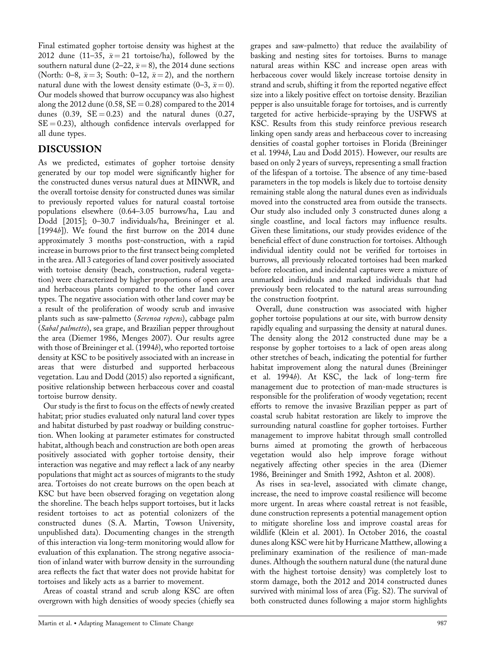the constructed dunes versus natural dues at MINWR, and the overall tortoise density for constructed dunes was similar to previously reported values for natural coastal tortoise populations elsewhere (0.64–3.05 burrows/ha, Lau and Dodd [2015]; 0–30.7 individuals/ha, Breininger et al. [1994b]). We found the first burrow on the 2014 dune approximately 3 months post-construction, with a rapid

all dune types. DISCUSSION

Final estimated gopher tortoise density was highest at the 2012 dune (11-35,  $\bar{x} = 21$  tortoise/ha), followed by the southern natural dune (2–22,  $\bar{x} = 8$ ), the 2014 dune sections (North: 0–8,  $\bar{x} = 3$ ; South: 0–12,  $\bar{x} = 2$ ), and the northern natural dune with the lowest density estimate (0–3,  $\bar{x} = 0$ ). Our models showed that burrow occupancy was also highest along the 2012 dune (0.58,  $SE = 0.28$ ) compared to the 2014 dunes  $(0.39, \text{ } SE = 0.23)$  and the natural dunes  $(0.27, \text{ }$  $SE = 0.23$ ), although confidence intervals overlapped for

As we predicted, estimates of gopher tortoise density generated by our top model were significantly higher for

increase in burrows prior to the first transect being completed in the area. All 3 categories of land cover positively associated with tortoise density (beach, construction, ruderal vegetation) were characterized by higher proportions of open area and herbaceous plants compared to the other land cover types. The negative association with other land cover may be a result of the proliferation of woody scrub and invasive plants such as saw-palmetto (Serenoa repens), cabbage palm (Sabal palmetto), sea grape, and Brazilian pepper throughout the area (Diemer 1986, Menges 2007). Our results agree with those of Breininger et al. (1994b), who reported tortoise density at KSC to be positively associated with an increase in areas that were disturbed and supported herbaceous vegetation. Lau and Dodd (2015) also reported a significant, positive relationship between herbaceous cover and coastal tortoise burrow density.

Our study is the first to focus on the effects of newly created habitat; prior studies evaluated only natural land cover types and habitat disturbed by past roadway or building construction. When looking at parameter estimates for constructed habitat, although beach and construction are both open areas positively associated with gopher tortoise density, their interaction was negative and may reflect a lack of any nearby populations that might act as sources of migrants to the study area. Tortoises do not create burrows on the open beach at KSC but have been observed foraging on vegetation along the shoreline. The beach helps support tortoises, but it lacks resident tortoises to act as potential colonizers of the constructed dunes (S. A. Martin, Towson University, unpublished data). Documenting changes in the strength of this interaction via long-term monitoring would allow for evaluation of this explanation. The strong negative association of inland water with burrow density in the surrounding area reflects the fact that water does not provide habitat for tortoises and likely acts as a barrier to movement.

Areas of coastal strand and scrub along KSC are often overgrown with high densities of woody species (chiefly sea

grapes and saw-palmetto) that reduce the availability of basking and nesting sites for tortoises. Burns to manage natural areas within KSC and increase open areas with herbaceous cover would likely increase tortoise density in strand and scrub, shifting it from the reported negative effect size into a likely positive effect on tortoise density. Brazilian pepper is also unsuitable forage for tortoises, and is currently targeted for active herbicide-spraying by the USFWS at KSC. Results from this study reinforce previous research linking open sandy areas and herbaceous cover to increasing densities of coastal gopher tortoises in Florida (Breininger et al. 1994b, Lau and Dodd 2015). However, our results are based on only 2 years of surveys, representing a small fraction of the lifespan of a tortoise. The absence of any time-based parameters in the top models is likely due to tortoise density remaining stable along the natural dunes even as individuals moved into the constructed area from outside the transects. Our study also included only 3 constructed dunes along a single coastline, and local factors may influence results. Given these limitations, our study provides evidence of the beneficial effect of dune construction for tortoises. Although individual identity could not be verified for tortoises in burrows, all previously relocated tortoises had been marked before relocation, and incidental captures were a mixture of unmarked individuals and marked individuals that had previously been relocated to the natural areas surrounding the construction footprint.

Overall, dune construction was associated with higher gopher tortoise populations at our site, with burrow density rapidly equaling and surpassing the density at natural dunes. The density along the 2012 constructed dune may be a response by gopher tortoises to a lack of open areas along other stretches of beach, indicating the potential for further habitat improvement along the natural dunes (Breininger et al. 1994b). At KSC, the lack of long-term fire management due to protection of man-made structures is responsible for the proliferation of woody vegetation; recent efforts to remove the invasive Brazilian pepper as part of coastal scrub habitat restoration are likely to improve the surrounding natural coastline for gopher tortoises. Further management to improve habitat through small controlled burns aimed at promoting the growth of herbaceous vegetation would also help improve forage without negatively affecting other species in the area (Diemer 1986, Breininger and Smith 1992, Ashton et al. 2008).

As rises in sea-level, associated with climate change, increase, the need to improve coastal resilience will become more urgent. In areas where coastal retreat is not feasible, dune construction represents a potential management option to mitigate shoreline loss and improve coastal areas for wildlife (Klein et al. 2001). In October 2016, the coastal dunes along KSC were hit by Hurricane Matthew, allowing a preliminary examination of the resilience of man-made dunes. Although the southern natural dune (the natural dune with the highest tortoise density) was completely lost to storm damage, both the 2012 and 2014 constructed dunes survived with minimal loss of area (Fig. S2). The survival of both constructed dunes following a major storm highlights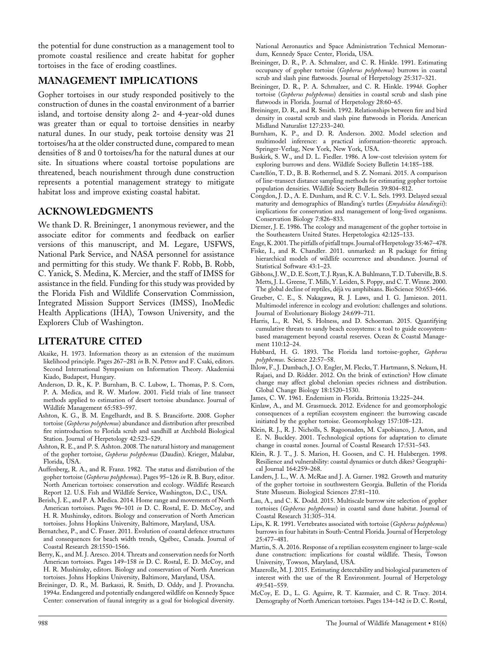the potential for dune construction as a management tool to promote coastal resilience and create habitat for gopher tortoises in the face of eroding coastlines.

# MANAGEMENT IMPLICATIONS

Gopher tortoises in our study responded positively to the construction of dunes in the coastal environment of a barrier island, and tortoise density along 2- and 4-year-old dunes was greater than or equal to tortoise densities in nearby natural dunes. In our study, peak tortoise density was 21 tortoises/ha at the older constructed dune, compared to mean densities of 8 and 0 tortoises/ha for the natural dunes at our site. In situations where coastal tortoise populations are threatened, beach nourishment through dune construction represents a potential management strategy to mitigate habitat loss and improve existing coastal habitat.

## ACKNOWLEDGMENTS

We thank D. R. Breininger, 1 anonymous reviewer, and the associate editor for comments and feedback on earlier versions of this manuscript, and M. Legare, USFWS, National Park Service, and NASA personnel for assistance and permitting for this study. We thank F. Robb, B. Robb, C. Yanick, S. Medina, K. Mercier, and the staff of IMSS for assistance in the field. Funding for this study was provided by the Florida Fish and Wildlife Conservation Commission, Integrated Mission Support Services (IMSS), InoMedic Health Applications (IHA), Towson University, and the Explorers Club of Washington.

## LITERATURE CITED

- Akaike, H. 1973. Information theory as an extension of the maximum likelihood principle. Pages 267–281 in B. N. Petrov and F. Csaki, editors. Second International Symposium on Information Theory. Akademiai Kiado, Budapest, Hungary.
- Anderson, D. R., K. P. Burnham, B. C. Lubow, L. Thomas, P. S. Corn, P. A. Medica, and R. W. Marlow. 2001. Field trials of line transect methods applied to estimation of desert tortoise abundance. Journal of Wildlife Management 65:583–597.
- Ashton, K. G., B. M. Engelhardt, and B. S. Branciforte. 2008. Gopher tortoise (Gopherus polyphemus) abundance and distribution after prescribed fire reintroduction to Florida scrub and sandhill at Archbold Biological Station. Journal of Herpetology 42:523–529.
- Ashton, R. E., and P. S. Ashton. 2008. The natural history and management of the gopher tortoise, Gopherus polyphemus (Daudin). Krieger, Malabar, Florida, USA.
- Auffenberg, R. A., and R. Franz. 1982. The status and distribution of the gopher tortoise (*Gopherus polyphemus*). Pages 95–126 *in* R. B. Bury, editor. North American tortoises: conservation and ecology. Wildlife Research Report 12. U.S. Fish and Wildlife Service, Washington, D.C., USA.
- Berish, J. E., and P. A. Medica. 2014. Home range and movements of North American tortoises. Pages 96-101 in D. C. Rostal, E. D. McCoy, and H. R. Mushinsky, editors. Biology and conservation of North American tortoises. Johns Hopkins University, Baltimore, Maryland, USA.
- Bernatchez, P., and C. Fraser. 2011. Evolution of coastal defence structures and consequences for beach width trends, Québec, Canada. Journal of Coastal Research 28:1550–1566.
- Berry, K., and M. J. Aresco. 2014. Threats and conservation needs for North American tortoises. Pages 149-158 in D. C. Rostal, E. D. McCoy, and H. R. Mushinsky, editors. Biology and conservation of North American tortoises. Johns Hopkins University, Baltimore, Maryland, USA.
- Breininger, D. R., M. Barkaszi, R. Smith, D. Oddy, and J. Provancha. 1994a. Endangered and potentially endangered wildlife on Kennedy Space Center: conservation of faunal integrity as a goal for biological diversity.

National Aeronautics and Space Administration Technical Memorandum, Kennedy Space Center, Florida, USA.

- Breininger, D. R., P. A. Schmalzer, and C. R. Hinkle. 1991. Estimating occupancy of gopher tortoise (Gopherus polyphemus) burrows in coastal scrub and slash pine flatwoods. Journal of Herpetology 25:317–321.
- Breininger, D. R., P. A. Schmalzer, and C. R. Hinkle. 1994b. Gopher tortoise (Gopherus polyphemus) densities in coastal scrub and slash pine flatwoods in Florida. Journal of Herpetology 28:60–65.
- Breininger, D. R., and R. Smith. 1992. Relationships between fire and bird density in coastal scrub and slash pine flatwoods in Florida. American Midland Naturalist 127:233–240.
- Burnham, K. P., and D. R. Anderson. 2002. Model selection and multimodel inference: a practical information-theoretic approach. Springer-Verlag, New York, New York, USA.
- Buskirk, S. W., and D. L. Fiedler. 1986. A low-cost television system for exploring burrows and dens. Wildlife Society Bulletin 14:185–188.
- Castellón, T. D., B. B. Rothermel, and S. Z. Nomani. 2015. A comparison of line-transect distance sampling methods for estimating gopher tortoise population densities. Wildlife Society Bulletin 39:804–812.
- Congdon, J. D., A. E. Dunham, and R. C. V. L. Sels. 1993. Delayed sexual maturity and demographics of Blanding's turtles (Emydoidea blandingii): implications for conservation and management of long-lived organisms. Conservation Biology 7:826–833.
- Diemer, J. E. 1986. The ecology and management of the gopher tortoise in the Southeastern United States. Herpetologica 42:125–133.
- Enge, K. 2001. The pitfalls of pitfall traps. Journal of Herpetology 35:467-478.
- Fiske, I., and R. Chandler. 2011. unmarked: an R package for fitting hierarchical models of wildlife occurrence and abundance. Journal of Statistical Software 43:1–23.
- Gibbons, J.W., D.E. Scott, T.J. Ryan, K.A. Buhlmann, T.D. Tuberville, B.S. Metts, J. L. Greene, T. Mills, Y. Leiden, S. Poppy, and C. T. Winne. 2000. The global decline of reptiles, deja vu amphibians. BioScience 50:653–666.
- Grueber, C. E., S. Nakagawa, R. J. Laws, and I. G. Jamieson. 2011. Multimodel inference in ecology and evolution: challenges and solutions. Journal of Evolutionary Biology 24:699–711.
- Harris, L., R. Nel, S. Holness, and D. Schoeman. 2015. Quantifying cumulative threats to sandy beach ecosystems: a tool to guide ecosystembased management beyond coastal reserves. Ocean & Coastal Management 110:12–24.
- Hubbard, H. G. 1893. The Florida land tortoise-gopher, Gopherus polyphemus. Science 22:57–58.
- Ihlow, F., J. Dambach, J. O. Engler, M. Flecks, T. Hartmann, S. Nekum, H. Rajaei, and D. Rödder. 2012. On the brink of extinction? How climate change may affect global chelonian species richness and distribution. Global Change Biology 18:1520–1530.
- James, C. W. 1961. Endemism in Florida. Brittonia 13:225–244.
- Kinlaw, A., and M. Grasmueck. 2012. Evidence for and geomorphologic consequences of a reptilian ecosystem engineer: the burrowing cascade initiated by the gopher tortoise. Geomorphology 157:108–121.
- Klein, R. J., R. J. Nicholls, S. Ragoonaden, M. Capobianco, J. Aston, and E. N. Buckley. 2001. Technological options for adaptation to climate change in coastal zones. Journal of Coastal Research 17:531–543.
- Klein, R. J. T., J. S. Marion, H. Goosen, and C. H. Hulsbergen. 1998. Resilience and vulnerability: coastal dynamics or dutch dikes? Geographical Journal 164:259–268.
- Landers, J. L., W. A. McRae and J. A. Garner. 1982. Growth and maturity of the gopher tortoise in southwestern Georgia. Bulletin of the Florida State Museum. Biological Sciences 27:81–110.
- Lau, A., and C. K. Dodd. 2015. Multiscale burrow site selection of gopher tortoises (Gopherus polyphemus) in coastal sand dune habitat. Journal of Coastal Research 31:305–314.
- Lips, K. R. 1991. Vertebrates associated with tortoise (Gopherus polyphemus) burrows in four habitats in South-Central Florida. Journal of Herpetology 25:477–481.
- Martin, S. A. 2016. Response of a reptilian ecosystem engineer to large-scale dune construction: implications for coastal wildlife. Thesis, Towson University, Towson, Maryland, USA.
- Mazerolle, M. J. 2015. Estimating detectability and biological parameters of interest with the use of the R Environment. Journal of Herpetology 49:541–559.
- McCoy, E. D., L. G. Aguirre, R. T. Kazmaier, and C. R. Tracy. 2014. Demography of North American tortoises. Pages 134–142 in D. C. Rostal,